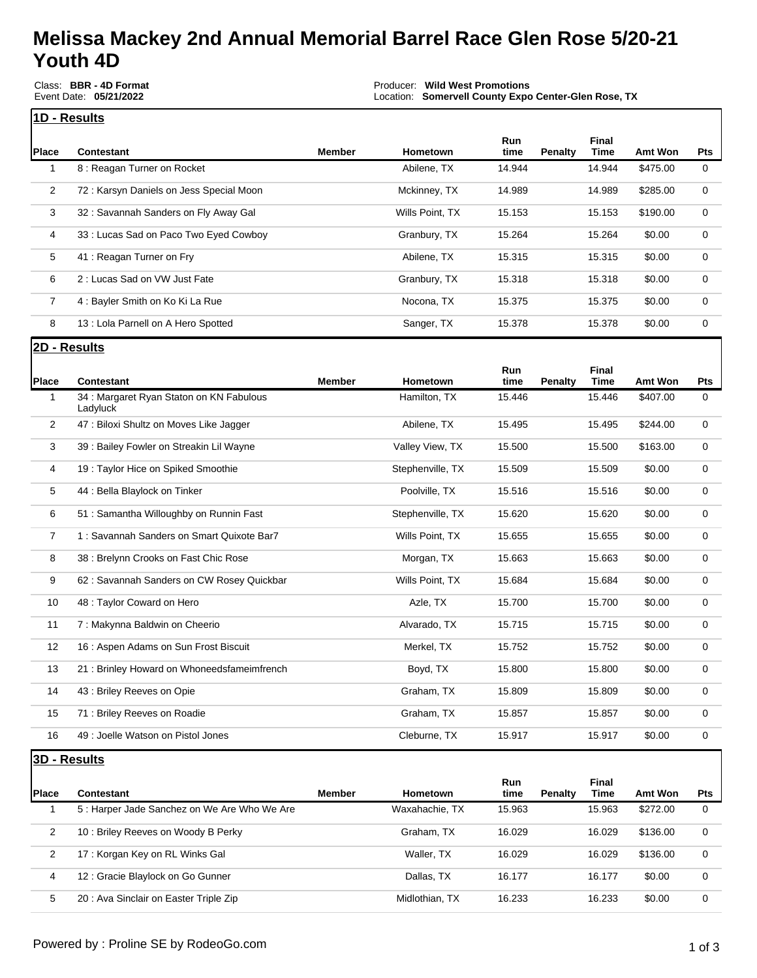## **Melissa Mackey 2nd Annual Memorial Barrel Race Glen Rose 5/20-21 Youth 4D**

Class: **BBR - 4D Format** Event Date: **05/21/2022**

Producer: **Wild West Promotions** Location: **Somervell County Expo Center-Glen Rose, TX**

Event Payout: **\$2,715.00** Total Signups**: 63**

**1D - Results** Round Description: **Single Race**

| <b>Place</b>   | Contestant                              | Member | Hometown        | <b>Run</b><br>time | Penalty | <b>Final</b><br>Time | Amt Won  | <b>Pts</b> |
|----------------|-----------------------------------------|--------|-----------------|--------------------|---------|----------------------|----------|------------|
|                | 8 : Reagan Turner on Rocket             |        | Abilene, TX     | 14.944             |         | 14.944               | \$475.00 | 0          |
| $\overline{2}$ | 72: Karsyn Daniels on Jess Special Moon |        | Mckinney, TX    | 14.989             |         | 14.989               | \$285.00 | $\Omega$   |
| 3              | 32: Savannah Sanders on Fly Away Gal    |        | Wills Point, TX | 15.153             |         | 15.153               | \$190.00 | $\Omega$   |
| 4              | 33 : Lucas Sad on Paco Two Eyed Cowboy  |        | Granbury, TX    | 15.264             |         | 15.264               | \$0.00   | $\Omega$   |
| 5              | 41 : Reagan Turner on Fry               |        | Abilene, TX     | 15.315             |         | 15.315               | \$0.00   | 0          |
| 6              | 2: Lucas Sad on VW Just Fate            |        | Granbury, TX    | 15.318             |         | 15.318               | \$0.00   | $\Omega$   |
| 7              | 4: Bayler Smith on Ko Ki La Rue         |        | Nocona, TX      | 15.375             |         | 15.375               | \$0.00   | 0          |
| 8              | 13 : Lola Parnell on A Hero Spotted     |        | Sanger, TX      | 15,378             |         | 15.378               | \$0.00   | 0          |

**2D - Results**

| <b>Place</b> | <b>Contestant</b>                                    | <b>Member</b> | <b>Hometown</b>  | <b>Run</b><br>time | Penalty | Final<br><b>Time</b> | Amt Won  | <b>Pts</b> |
|--------------|------------------------------------------------------|---------------|------------------|--------------------|---------|----------------------|----------|------------|
| 1            | 34 : Margaret Ryan Staton on KN Fabulous<br>Ladyluck |               | Hamilton, TX     | 15.446             |         | 15.446               | \$407.00 | 0          |
| 2            | 47 : Biloxi Shultz on Moves Like Jagger              |               | Abilene, TX      | 15.495             |         | 15.495               | \$244.00 | 0          |
| 3            | 39 : Bailey Fowler on Streakin Lil Wayne             |               | Valley View, TX  | 15.500             |         | 15.500               | \$163.00 | 0          |
| 4            | 19: Taylor Hice on Spiked Smoothie                   |               | Stephenville, TX | 15.509             |         | 15.509               | \$0.00   | 0          |
| 5            | 44 : Bella Blaylock on Tinker                        |               | Poolville, TX    | 15.516             |         | 15.516               | \$0.00   | 0          |
| 6            | 51: Samantha Willoughby on Runnin Fast               |               | Stephenville, TX | 15.620             |         | 15.620               | \$0.00   | 0          |
| 7            | 1: Savannah Sanders on Smart Quixote Bar7            |               | Wills Point, TX  | 15.655             |         | 15.655               | \$0.00   | 0          |
| 8            | 38 : Brelynn Crooks on Fast Chic Rose                |               | Morgan, TX       | 15.663             |         | 15.663               | \$0.00   | 0          |
| 9            | 62: Savannah Sanders on CW Rosey Quickbar            |               | Wills Point, TX  | 15.684             |         | 15.684               | \$0.00   | 0          |
| 10           | 48 : Taylor Coward on Hero                           |               | Azle, TX         | 15.700             |         | 15.700               | \$0.00   | 0          |
| 11           | 7: Makynna Baldwin on Cheerio                        |               | Alvarado, TX     | 15.715             |         | 15.715               | \$0.00   | 0          |
| 12           | 16 : Aspen Adams on Sun Frost Biscuit                |               | Merkel, TX       | 15.752             |         | 15.752               | \$0.00   | 0          |
| 13           | 21 : Brinley Howard on Whoneedsfameimfrench          |               | Boyd, TX         | 15.800             |         | 15.800               | \$0.00   | 0          |
| 14           | 43 : Briley Reeves on Opie                           |               | Graham, TX       | 15.809             |         | 15.809               | \$0.00   | 0          |
| 15           | 71: Briley Reeves on Roadie                          |               | Graham, TX       | 15.857             |         | 15.857               | \$0.00   | 0          |
| 16           | 49 : Joelle Watson on Pistol Jones                   |               | Cleburne, TX     | 15.917             |         | 15.917               | \$0.00   | 0          |
|              | 3D - Results                                         |               |                  |                    |         |                      |          |            |

| <b>Place</b> | Contestant                                  | Member | <b>Hometown</b> | Run<br>time | <b>Penalty</b> | Final<br>Time | Amt Won  | <b>Pts</b> |
|--------------|---------------------------------------------|--------|-----------------|-------------|----------------|---------------|----------|------------|
|              | 5: Harper Jade Sanchez on We Are Who We Are |        | Waxahachie, TX  | 15.963      |                | 15.963        | \$272.00 |            |
| 2            | 10: Briley Reeves on Woody B Perky          |        | Graham, TX      | 16.029      |                | 16.029        | \$136.00 |            |
| 2            | 17: Korgan Key on RL Winks Gal              |        | Waller, TX      | 16.029      |                | 16.029        | \$136.00 |            |
| 4            | 12: Gracie Blaylock on Go Gunner            |        | Dallas, TX      | 16.177      |                | 16.177        | \$0.00   |            |
| 5            | 20 : Ava Sinclair on Easter Triple Zip      |        | Midlothian, TX  | 16.233      |                | 16.233        | \$0.00   |            |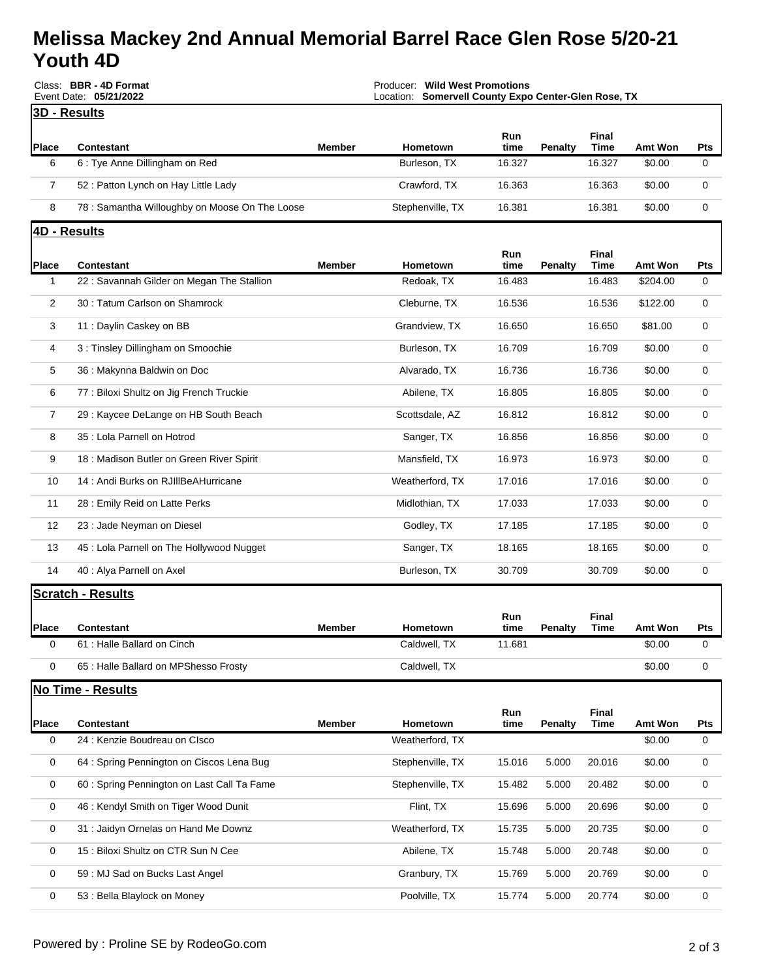## **Melissa Mackey 2nd Annual Memorial Barrel Race Glen Rose 5/20-21 Youth 4D**

|                   | Class: BBR - 4D Format<br>Event Date: 05/21/2022 | Producer: Wild West Promotions<br>Location: Somervell County Expo Center-Glen Rose, TX |                          |                |                |               |                   |          |
|-------------------|--------------------------------------------------|----------------------------------------------------------------------------------------|--------------------------|----------------|----------------|---------------|-------------------|----------|
|                   | 3D - Results                                     |                                                                                        |                          |                |                |               |                   |          |
| <b>Place</b>      | <b>Contestant</b>                                | <b>Member</b>                                                                          | Hometown                 | Run<br>time    | <b>Penalty</b> | Final<br>Time | Amt Won           | Pts      |
| 6                 | 6 : Tye Anne Dillingham on Red                   |                                                                                        | Burleson, TX             | 16.327         |                | 16.327        | \$0.00            | 0        |
| 7                 | 52 : Patton Lynch on Hay Little Lady             |                                                                                        | Crawford, TX             | 16.363         |                | 16.363        | \$0.00            | 0        |
| 8                 | 78 : Samantha Willoughby on Moose On The Loose   |                                                                                        | Stephenville, TX         | 16.381         |                | 16.381        | \$0.00            | 0        |
|                   | 4D - Results                                     |                                                                                        |                          |                |                |               |                   |          |
| <b>Place</b>      | <b>Contestant</b>                                | Member                                                                                 | Hometown                 | Run<br>time    | <b>Penalty</b> | Final<br>Time | <b>Amt Won</b>    | Pts      |
| 1                 | 22 : Savannah Gilder on Megan The Stallion       |                                                                                        | Redoak, TX               | 16.483         |                | 16.483        | \$204.00          | 0        |
| 2                 | 30: Tatum Carlson on Shamrock                    |                                                                                        | Cleburne, TX             | 16.536         |                | 16.536        | \$122.00          | 0        |
| 3                 | 11 : Daylin Caskey on BB                         |                                                                                        | Grandview, TX            | 16.650         |                | 16.650        | \$81.00           | 0        |
| 4                 | 3: Tinsley Dillingham on Smoochie                |                                                                                        | Burleson, TX             | 16.709         |                | 16.709        | \$0.00            | 0        |
| 5                 | 36 : Makynna Baldwin on Doc                      |                                                                                        | Alvarado, TX             | 16.736         |                | 16.736        | \$0.00            | 0        |
| 6                 | 77: Biloxi Shultz on Jig French Truckie          |                                                                                        | Abilene, TX              | 16.805         |                | 16.805        | \$0.00            | 0        |
| 7                 | 29 : Kaycee DeLange on HB South Beach            |                                                                                        | Scottsdale, AZ           | 16.812         |                | 16.812        | \$0.00            | 0        |
| 8                 | 35 : Lola Parnell on Hotrod                      |                                                                                        | Sanger, TX               | 16.856         |                | 16.856        | \$0.00            | 0        |
| 9                 | 18: Madison Butler on Green River Spirit         |                                                                                        | Mansfield, TX            | 16.973         |                | 16.973        | \$0.00            | 0        |
| 10                | 14 : Andi Burks on RJIIIBeAHurricane             |                                                                                        | Weatherford, TX          | 17.016         |                | 17.016        | \$0.00            | 0        |
| 11                | 28 : Emily Reid on Latte Perks                   |                                                                                        | Midlothian, TX           | 17.033         |                | 17.033        | \$0.00            | 0        |
| 12                | 23 : Jade Neyman on Diesel                       |                                                                                        | Godley, TX               | 17.185         |                | 17.185        | \$0.00            | 0        |
| 13                | 45 : Lola Parnell on The Hollywood Nugget        |                                                                                        | Sanger, TX               | 18.165         |                | 18.165        | \$0.00            | 0        |
| 14                | 40 : Alya Parnell on Axel                        |                                                                                        | Burleson, TX             | 30.709         |                | 30.709        | \$0.00            | 0        |
|                   | <b>Scratch - Results</b>                         |                                                                                        |                          |                |                |               |                   |          |
|                   |                                                  |                                                                                        |                          | Run            |                | Final         |                   |          |
| <b>Place</b><br>0 | Contestant<br>61 : Halle Ballard on Cinch        | Member                                                                                 | Hometown<br>Caldwell, TX | tıme<br>11.681 | Penalty        | Time          | Amt Won<br>\$0.00 | Pts<br>0 |
| 0                 | 65 : Halle Ballard on MPShesso Frosty            |                                                                                        | Caldwell, TX             |                |                |               | \$0.00            | 0        |
|                   | <b>No Time - Results</b>                         |                                                                                        |                          |                |                |               |                   |          |
|                   |                                                  |                                                                                        |                          | Run            |                | Final         |                   |          |
| Place             | <b>Contestant</b>                                | Member                                                                                 | Hometown                 | time           | Penalty        | Time          | Amt Won           | Pts      |
| 0                 | 24 : Kenzie Boudreau on Clsco                    |                                                                                        | Weatherford, TX          |                |                |               | \$0.00            | 0        |
| 0                 | 64 : Spring Pennington on Ciscos Lena Bug        |                                                                                        | Stephenville, TX         | 15.016         | 5.000          | 20.016        | \$0.00            | 0        |
| 0                 | 60 : Spring Pennington on Last Call Ta Fame      |                                                                                        | Stephenville, TX         | 15.482         | 5.000          | 20.482        | \$0.00            | 0        |
| 0                 | 46 : Kendyl Smith on Tiger Wood Dunit            |                                                                                        | Flint, TX                | 15.696         | 5.000          | 20.696        | \$0.00            | 0        |
| 0                 | 31 : Jaidyn Ornelas on Hand Me Downz             |                                                                                        | Weatherford, TX          | 15.735         | 5.000          | 20.735        | \$0.00            | 0        |
| 0                 | 15 : Biloxi Shultz on CTR Sun N Cee              |                                                                                        | Abilene, TX              | 15.748         | 5.000          | 20.748        | \$0.00            | 0        |
| 0                 | 59: MJ Sad on Bucks Last Angel                   |                                                                                        | Granbury, TX             | 15.769         | 5.000          | 20.769        | \$0.00            | 0        |
| 0                 | 53 : Bella Blaylock on Money                     |                                                                                        | Poolville, TX            | 15.774         | 5.000          | 20.774        | \$0.00            | 0        |